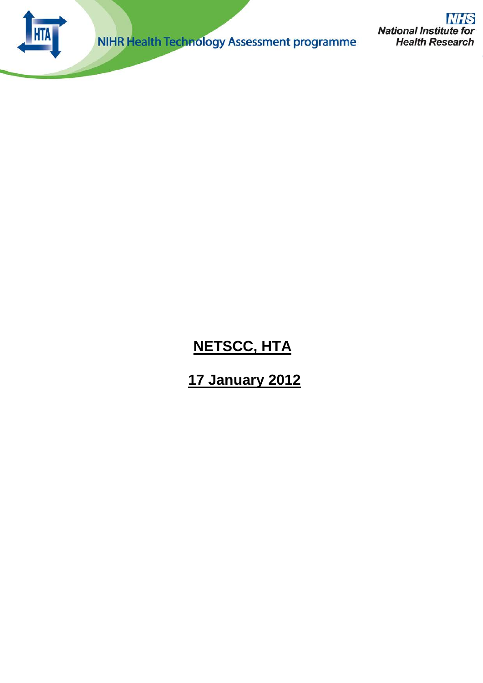

NIHR Health Technology Assessment programme

**NHS National Institute for Health Research** 

# **NETSCC, HTA**

# **17 January 2012**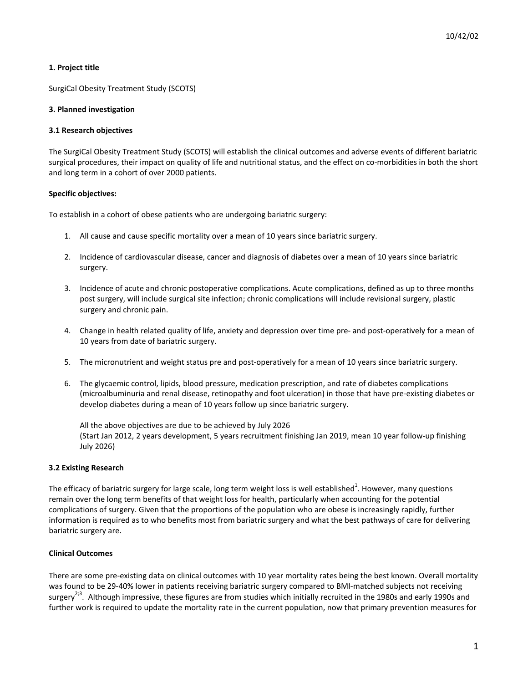# **1. Project title**

SurgiCal Obesity Treatment Study (SCOTS)

# **3. Planned investigation**

# **3.1 Research objectives**

The SurgiCal Obesity Treatment Study (SCOTS) will establish the clinical outcomes and adverse events of different bariatric surgical procedures, their impact on quality of life and nutritional status, and the effect on co-morbidities in both the short and long term in a cohort of over 2000 patients.

# **Specific objectives:**

To establish in a cohort of obese patients who are undergoing bariatric surgery:

- 1. All cause and cause specific mortality over a mean of 10 years since bariatric surgery.
- 2. Incidence of cardiovascular disease, cancer and diagnosis of diabetes over a mean of 10 years since bariatric surgery.
- 3. Incidence of acute and chronic postoperative complications. Acute complications, defined as up to three months post surgery, will include surgical site infection; chronic complications will include revisional surgery, plastic surgery and chronic pain.
- 4. Change in health related quality of life, anxiety and depression over time pre- and post-operatively for a mean of 10 years from date of bariatric surgery.
- 5. The micronutrient and weight status pre and post-operatively for a mean of 10 years since bariatric surgery.
- 6. The glycaemic control, lipids, blood pressure, medication prescription, and rate of diabetes complications (microalbuminuria and renal disease, retinopathy and foot ulceration) in those that have pre-existing diabetes or develop diabetes during a mean of 10 years follow up since bariatric surgery.

All the above objectives are due to be achieved by July 2026 (Start Jan 2012, 2 years development, 5 years recruitment finishing Jan 2019, mean 10 year follow-up finishing July 2026)

# **3.2 Existing Research**

The efficacy of bariatric surgery for large scale, long term weight loss is well established<sup>1</sup>. However, many questions remain over the long term benefits of that weight loss for health, particularly when accounting for the potential complications of surgery. Given that the proportions of the population who are obese is increasingly rapidly, further information is required as to who benefits most from bariatric surgery and what the best pathways of care for delivering bariatric surgery are.

# **Clinical Outcomes**

There are some pre-existing data on clinical outcomes with 10 year mortality rates being the best known. Overall mortality was found to be 29-40% lower in patients receiving bariatric surgery compared to BMI-matched subjects not receiving surgery<sup>2;3</sup>. Although impressive, these figures are from studies which initially recruited in the 1980s and early 1990s and further work is required to update the mortality rate in the current population, now that primary prevention measures for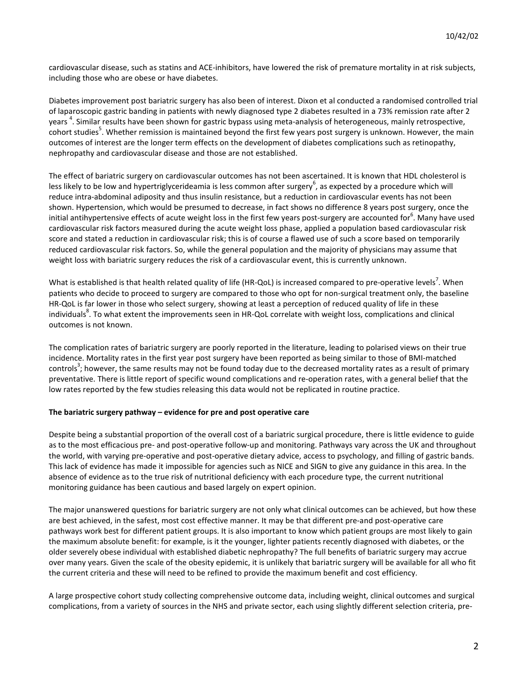cardiovascular disease, such as statins and ACE-inhibitors, have lowered the risk of premature mortality in at risk subjects, including those who are obese or have diabetes.

Diabetes improvement post bariatric surgery has also been of interest. Dixon et al conducted a randomised controlled trial of laparoscopic gastric banding in patients with newly diagnosed type 2 diabetes resulted in a 73% remission rate after 2 years <sup>4</sup>. Similar results have been shown for gastric bypass using meta-analysis of heterogeneous, mainly retrospective, cohort studies<sup>5</sup>. Whether remission is maintained beyond the first few years post surgery is unknown. However, the main outcomes of interest are the longer term effects on the development of diabetes complications such as retinopathy, nephropathy and cardiovascular disease and those are not established.

The effect of bariatric surgery on cardiovascular outcomes has not been ascertained. It is known that HDL cholesterol is less likely to be low and hypertriglycerideamia is less common after surgery<sup>6</sup>, as expected by a procedure which will reduce intra-abdominal adiposity and thus insulin resistance, but a reduction in cardiovascular events has not been shown. Hypertension, which would be presumed to decrease, in fact shows no difference 8 years post surgery, once the initial antihypertensive effects of acute weight loss in the first few years post-surgery are accounted for $^6$ . Many have used cardiovascular risk factors measured during the acute weight loss phase, applied a population based cardiovascular risk score and stated a reduction in cardiovascular risk; this is of course a flawed use of such a score based on temporarily reduced cardiovascular risk factors. So, while the general population and the majority of physicians may assume that weight loss with bariatric surgery reduces the risk of a cardiovascular event, this is currently unknown.

What is established is that health related quality of life (HR-QoL) is increased compared to pre-operative levels<sup>7</sup>. When patients who decide to proceed to surgery are compared to those who opt for non-surgical treatment only, the baseline HR-QoL is far lower in those who select surgery, showing at least a perception of reduced quality of life in these individuals<sup>8</sup>. To what extent the improvements seen in HR-QoL correlate with weight loss, complications and clinical outcomes is not known.

The complication rates of bariatric surgery are poorly reported in the literature, leading to polarised views on their true incidence. Mortality rates in the first year post surgery have been reported as being similar to those of BMI-matched controls<sup>3</sup>; however, the same results may not be found today due to the decreased mortality rates as a result of primary preventative. There is little report of specific wound complications and re-operation rates, with a general belief that the low rates reported by the few studies releasing this data would not be replicated in routine practice.

# **The bariatric surgery pathway – evidence for pre and post operative care**

Despite being a substantial proportion of the overall cost of a bariatric surgical procedure, there is little evidence to guide as to the most efficacious pre- and post-operative follow-up and monitoring. Pathways vary across the UK and throughout the world, with varying pre-operative and post-operative dietary advice, access to psychology, and filling of gastric bands. This lack of evidence has made it impossible for agencies such as NICE and SIGN to give any guidance in this area. In the absence of evidence as to the true risk of nutritional deficiency with each procedure type, the current nutritional monitoring guidance has been cautious and based largely on expert opinion.

The major unanswered questions for bariatric surgery are not only what clinical outcomes can be achieved, but how these are best achieved, in the safest, most cost effective manner. It may be that different pre-and post-operative care pathways work best for different patient groups. It is also important to know which patient groups are most likely to gain the maximum absolute benefit: for example, is it the younger, lighter patients recently diagnosed with diabetes, or the older severely obese individual with established diabetic nephropathy? The full benefits of bariatric surgery may accrue over many years. Given the scale of the obesity epidemic, it is unlikely that bariatric surgery will be available for all who fit the current criteria and these will need to be refined to provide the maximum benefit and cost efficiency.

A large prospective cohort study collecting comprehensive outcome data, including weight, clinical outcomes and surgical complications, from a variety of sources in the NHS and private sector, each using slightly different selection criteria, pre-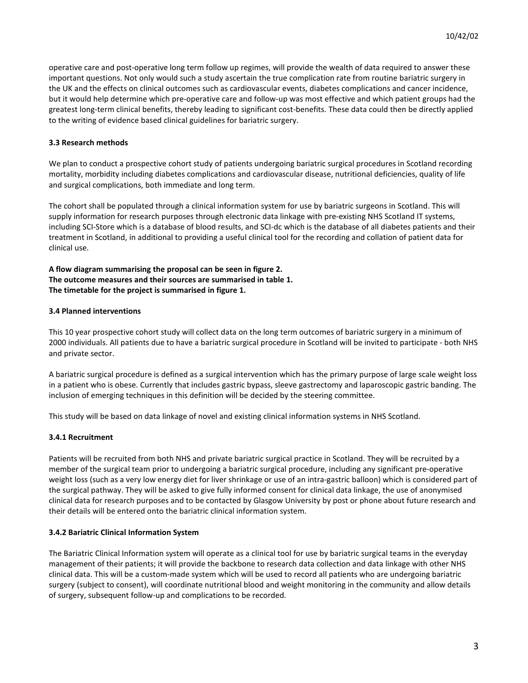operative care and post-operative long term follow up regimes, will provide the wealth of data required to answer these important questions. Not only would such a study ascertain the true complication rate from routine bariatric surgery in the UK and the effects on clinical outcomes such as cardiovascular events, diabetes complications and cancer incidence, but it would help determine which pre-operative care and follow-up was most effective and which patient groups had the greatest long-term clinical benefits, thereby leading to significant cost-benefits. These data could then be directly applied to the writing of evidence based clinical guidelines for bariatric surgery.

# **3.3 Research methods**

We plan to conduct a prospective cohort study of patients undergoing bariatric surgical procedures in Scotland recording mortality, morbidity including diabetes complications and cardiovascular disease, nutritional deficiencies, quality of life and surgical complications, both immediate and long term.

The cohort shall be populated through a clinical information system for use by bariatric surgeons in Scotland. This will supply information for research purposes through electronic data linkage with pre-existing NHS Scotland IT systems, including SCI-Store which is a database of blood results, and SCI-dc which is the database of all diabetes patients and their treatment in Scotland, in additional to providing a useful clinical tool for the recording and collation of patient data for clinical use.

**A flow diagram summarising the proposal can be seen in figure 2. The outcome measures and their sources are summarised in table 1. The timetable for the project is summarised in figure 1.**

# **3.4 Planned interventions**

This 10 year prospective cohort study will collect data on the long term outcomes of bariatric surgery in a minimum of 2000 individuals. All patients due to have a bariatric surgical procedure in Scotland will be invited to participate - both NHS and private sector.

A bariatric surgical procedure is defined as a surgical intervention which has the primary purpose of large scale weight loss in a patient who is obese. Currently that includes gastric bypass, sleeve gastrectomy and laparoscopic gastric banding. The inclusion of emerging techniques in this definition will be decided by the steering committee.

This study will be based on data linkage of novel and existing clinical information systems in NHS Scotland.

# **3.4.1 Recruitment**

Patients will be recruited from both NHS and private bariatric surgical practice in Scotland. They will be recruited by a member of the surgical team prior to undergoing a bariatric surgical procedure, including any significant pre-operative weight loss (such as a very low energy diet for liver shrinkage or use of an intra-gastric balloon) which is considered part of the surgical pathway. They will be asked to give fully informed consent for clinical data linkage, the use of anonymised clinical data for research purposes and to be contacted by Glasgow University by post or phone about future research and their details will be entered onto the bariatric clinical information system.

# **3.4.2 Bariatric Clinical Information System**

The Bariatric Clinical Information system will operate as a clinical tool for use by bariatric surgical teams in the everyday management of their patients; it will provide the backbone to research data collection and data linkage with other NHS clinical data. This will be a custom-made system which will be used to record all patients who are undergoing bariatric surgery (subject to consent), will coordinate nutritional blood and weight monitoring in the community and allow details of surgery, subsequent follow-up and complications to be recorded.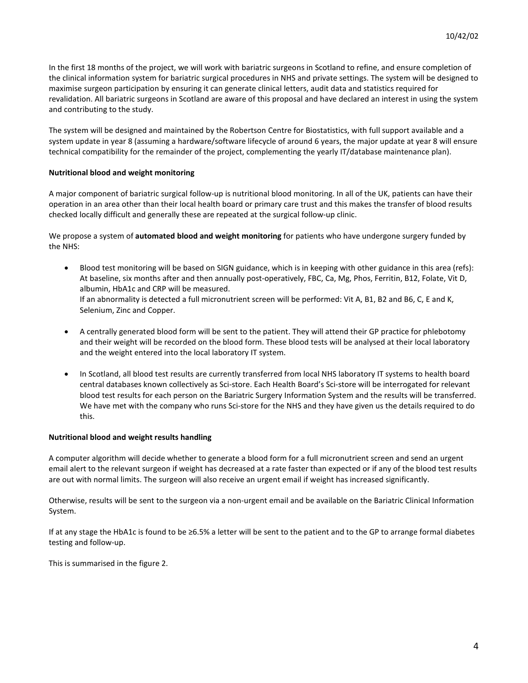In the first 18 months of the project, we will work with bariatric surgeons in Scotland to refine, and ensure completion of the clinical information system for bariatric surgical procedures in NHS and private settings. The system will be designed to maximise surgeon participation by ensuring it can generate clinical letters, audit data and statistics required for revalidation. All bariatric surgeons in Scotland are aware of this proposal and have declared an interest in using the system and contributing to the study.

The system will be designed and maintained by the Robertson Centre for Biostatistics, with full support available and a system update in year 8 (assuming a hardware/software lifecycle of around 6 years, the major update at year 8 will ensure technical compatibility for the remainder of the project, complementing the yearly IT/database maintenance plan).

# **Nutritional blood and weight monitoring**

A major component of bariatric surgical follow-up is nutritional blood monitoring. In all of the UK, patients can have their operation in an area other than their local health board or primary care trust and this makes the transfer of blood results checked locally difficult and generally these are repeated at the surgical follow-up clinic.

We propose a system of **automated blood and weight monitoring** for patients who have undergone surgery funded by the NHS:

- Blood test monitoring will be based on SIGN guidance, which is in keeping with other guidance in this area (refs): At baseline, six months after and then annually post-operatively, FBC, Ca, Mg, Phos, Ferritin, B12, Folate, Vit D, albumin, HbA1c and CRP will be measured. If an abnormality is detected a full micronutrient screen will be performed: Vit A, B1, B2 and B6, C, E and K, Selenium, Zinc and Copper.
- A centrally generated blood form will be sent to the patient. They will attend their GP practice for phlebotomy and their weight will be recorded on the blood form. These blood tests will be analysed at their local laboratory and the weight entered into the local laboratory IT system.
- In Scotland, all blood test results are currently transferred from local NHS laboratory IT systems to health board central databases known collectively as Sci-store. Each Health Board's Sci-store will be interrogated for relevant blood test results for each person on the Bariatric Surgery Information System and the results will be transferred. We have met with the company who runs Sci-store for the NHS and they have given us the details required to do this.

#### **Nutritional blood and weight results handling**

A computer algorithm will decide whether to generate a blood form for a full micronutrient screen and send an urgent email alert to the relevant surgeon if weight has decreased at a rate faster than expected or if any of the blood test results are out with normal limits. The surgeon will also receive an urgent email if weight has increased significantly.

Otherwise, results will be sent to the surgeon via a non-urgent email and be available on the Bariatric Clinical Information System.

If at any stage the HbA1c is found to be ≥6.5% a letter will be sent to the patient and to the GP to arrange formal diabetes testing and follow-up.

This is summarised in the figure 2.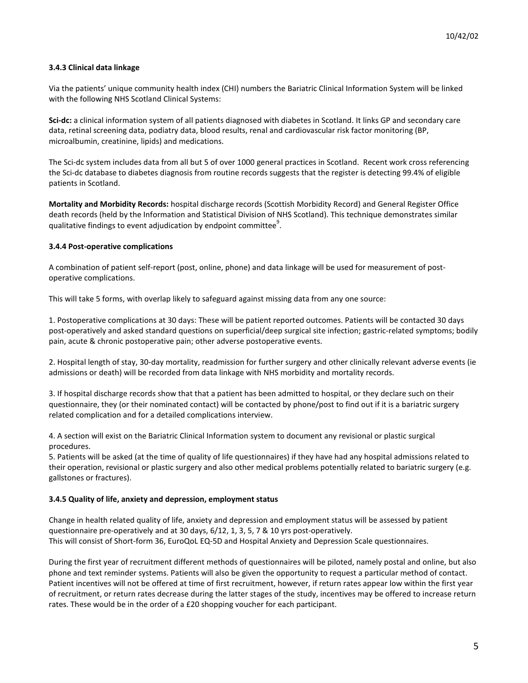# **3.4.3 Clinical data linkage**

Via the patients' unique community health index (CHI) numbers the Bariatric Clinical Information System will be linked with the following NHS Scotland Clinical Systems:

**Sci-dc:** a clinical information system of all patients diagnosed with diabetes in Scotland. It links GP and secondary care data, retinal screening data, podiatry data, blood results, renal and cardiovascular risk factor monitoring (BP, microalbumin, creatinine, lipids) and medications.

The Sci-dc system includes data from all but 5 of over 1000 general practices in Scotland. Recent work cross referencing the Sci-dc database to diabetes diagnosis from routine records suggests that the register is detecting 99.4% of eligible patients in Scotland.

**Mortality and Morbidity Records:** hospital discharge records (Scottish Morbidity Record) and General Register Office death records (held by the Information and Statistical Division of NHS Scotland). This technique demonstrates similar qualitative findings to event adjudication by endpoint committee $9$ .

# **3.4.4 Post-operative complications**

A combination of patient self-report (post, online, phone) and data linkage will be used for measurement of postoperative complications.

This will take 5 forms, with overlap likely to safeguard against missing data from any one source:

1. Postoperative complications at 30 days: These will be patient reported outcomes. Patients will be contacted 30 days post-operatively and asked standard questions on superficial/deep surgical site infection; gastric-related symptoms; bodily pain, acute & chronic postoperative pain; other adverse postoperative events.

2. Hospital length of stay, 30-day mortality, readmission for further surgery and other clinically relevant adverse events (ie admissions or death) will be recorded from data linkage with NHS morbidity and mortality records.

3. If hospital discharge records show that that a patient has been admitted to hospital, or they declare such on their questionnaire, they (or their nominated contact) will be contacted by phone/post to find out if it is a bariatric surgery related complication and for a detailed complications interview.

4. A section will exist on the Bariatric Clinical Information system to document any revisional or plastic surgical procedures.

5. Patients will be asked (at the time of quality of life questionnaires) if they have had any hospital admissions related to their operation, revisional or plastic surgery and also other medical problems potentially related to bariatric surgery (e.g. gallstones or fractures).

#### **3.4.5 Quality of life, anxiety and depression, employment status**

Change in health related quality of life, anxiety and depression and employment status will be assessed by patient questionnaire pre-operatively and at 30 days, 6/12, 1, 3, 5, 7 & 10 yrs post-operatively. This will consist of Short-form 36, EuroQoL EQ-5D and Hospital Anxiety and Depression Scale questionnaires.

During the first year of recruitment different methods of questionnaires will be piloted, namely postal and online, but also phone and text reminder systems. Patients will also be given the opportunity to request a particular method of contact. Patient incentives will not be offered at time of first recruitment, however, if return rates appear low within the first year of recruitment, or return rates decrease during the latter stages of the study, incentives may be offered to increase return rates. These would be in the order of a £20 shopping voucher for each participant.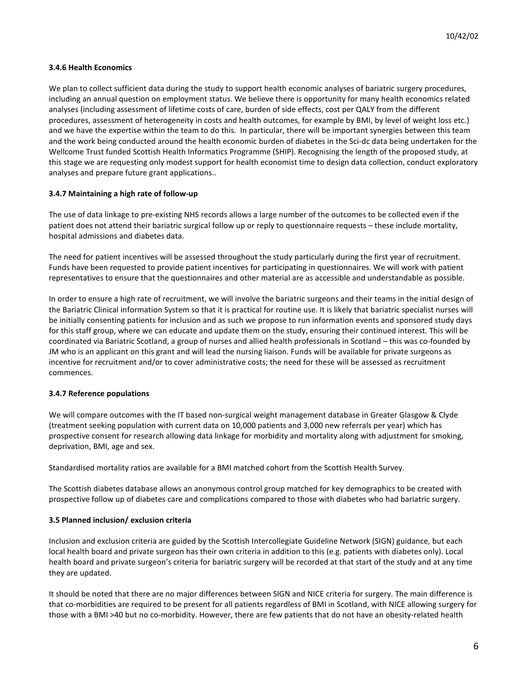# **3.4.6 Health Economics**

We plan to collect sufficient data during the study to support health economic analyses of bariatric surgery procedures, including an annual question on employment status. We believe there is opportunity for many health economics related analyses (including assessment of lifetime costs of care, burden of side effects, cost per QALY from the different procedures, assessment of heterogeneity in costs and health outcomes, for example by BMI, by level of weight loss etc.) and we have the expertise within the team to do this. In particular, there will be important synergies between this team and the work being conducted around the health economic burden of diabetes in the Sci-dc data being undertaken for the Wellcome Trust funded Scottish Health Informatics Programme (SHIP). Recognising the length of the proposed study, at this stage we are requesting only modest support for health economist time to design data collection, conduct exploratory analyses and prepare future grant applications..

# **3.4.7 Maintaining a high rate of follow-up**

The use of data linkage to pre-existing NHS records allows a large number of the outcomes to be collected even if the patient does not attend their bariatric surgical follow up or reply to questionnaire requests – these include mortality, hospital admissions and diabetes data.

The need for patient incentives will be assessed throughout the study particularly during the first year of recruitment. Funds have been requested to provide patient incentives for participating in questionnaires. We will work with patient representatives to ensure that the questionnaires and other material are as accessible and understandable as possible.

In order to ensure a high rate of recruitment, we will involve the bariatric surgeons and their teams in the initial design of the Bariatric Clinical information System so that it is practical for routine use. It is likely that bariatric specialist nurses will be initially consenting patients for inclusion and as such we propose to run information events and sponsored study days for this staff group, where we can educate and update them on the study, ensuring their continued interest. This will be coordinated via Bariatric Scotland, a group of nurses and allied health professionals in Scotland – this was co-founded by JM who is an applicant on this grant and will lead the nursing liaison. Funds will be available for private surgeons as incentive for recruitment and/or to cover administrative costs; the need for these will be assessed as recruitment commences.

# **3.4.7 Reference populations**

We will compare outcomes with the IT based non-surgical weight management database in Greater Glasgow & Clyde (treatment seeking population with current data on 10,000 patients and 3,000 new referrals per year) which has prospective consent for research allowing data linkage for morbidity and mortality along with adjustment for smoking, deprivation, BMI, age and sex.

Standardised mortality ratios are available for a BMI matched cohort from the Scottish Health Survey.

The Scottish diabetes database allows an anonymous control group matched for key demographics to be created with prospective follow up of diabetes care and complications compared to those with diabetes who had bariatric surgery.

#### **3.5 Planned inclusion/ exclusion criteria**

Inclusion and exclusion criteria are guided by the Scottish Intercollegiate Guideline Network (SIGN) guidance, but each local health board and private surgeon has their own criteria in addition to this (e.g. patients with diabetes only). Local health board and private surgeon's criteria for bariatric surgery will be recorded at that start of the study and at any time they are updated.

It should be noted that there are no major differences between SIGN and NICE criteria for surgery. The main difference is that co-morbidities are required to be present for all patients regardless of BMI in Scotland, with NICE allowing surgery for those with a BMI >40 but no co-morbidity. However, there are few patients that do not have an obesity-related health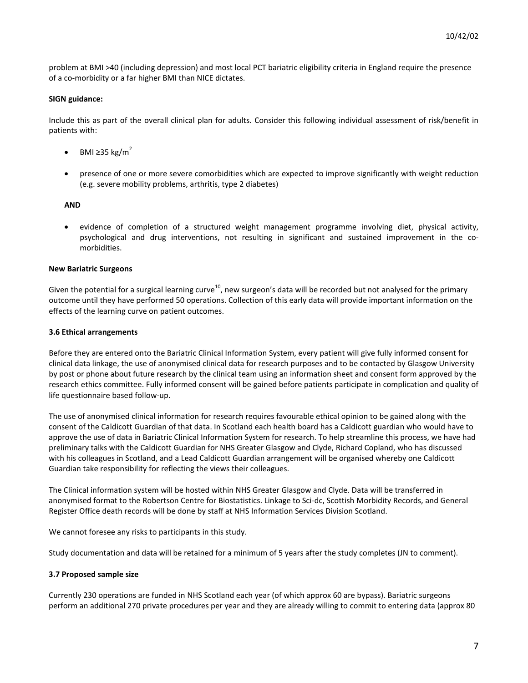problem at BMI >40 (including depression) and most local PCT bariatric eligibility criteria in England require the presence of a co-morbidity or a far higher BMI than NICE dictates.

# **SIGN guidance:**

Include this as part of the overall clinical plan for adults. Consider this following individual assessment of risk/benefit in patients with:

- BMI  $\geq$ 35 kg/m<sup>2</sup>
- presence of one or more severe comorbidities which are expected to improve significantly with weight reduction (e.g. severe mobility problems, arthritis, type 2 diabetes)

# **AND**

• evidence of completion of a structured weight management programme involving diet, physical activity, psychological and drug interventions, not resulting in significant and sustained improvement in the comorbidities.

# **New Bariatric Surgeons**

Given the potential for a surgical learning curve<sup>10</sup>, new surgeon's data will be recorded but not analysed for the primary outcome until they have performed 50 operations. Collection of this early data will provide important information on the effects of the learning curve on patient outcomes.

# **3.6 Ethical arrangements**

Before they are entered onto the Bariatric Clinical Information System, every patient will give fully informed consent for clinical data linkage, the use of anonymised clinical data for research purposes and to be contacted by Glasgow University by post or phone about future research by the clinical team using an information sheet and consent form approved by the research ethics committee. Fully informed consent will be gained before patients participate in complication and quality of life questionnaire based follow-up.

The use of anonymised clinical information for research requires favourable ethical opinion to be gained along with the consent of the Caldicott Guardian of that data. In Scotland each health board has a Caldicott guardian who would have to approve the use of data in Bariatric Clinical Information System for research. To help streamline this process, we have had preliminary talks with the Caldicott Guardian for NHS Greater Glasgow and Clyde, Richard Copland, who has discussed with his colleagues in Scotland, and a Lead Caldicott Guardian arrangement will be organised whereby one Caldicott Guardian take responsibility for reflecting the views their colleagues.

The Clinical information system will be hosted within NHS Greater Glasgow and Clyde. Data will be transferred in anonymised format to the Robertson Centre for Biostatistics. Linkage to Sci-dc, Scottish Morbidity Records, and General Register Office death records will be done by staff at NHS Information Services Division Scotland.

We cannot foresee any risks to participants in this study.

Study documentation and data will be retained for a minimum of 5 years after the study completes (JN to comment).

# **3.7 Proposed sample size**

Currently 230 operations are funded in NHS Scotland each year (of which approx 60 are bypass). Bariatric surgeons perform an additional 270 private procedures per year and they are already willing to commit to entering data (approx 80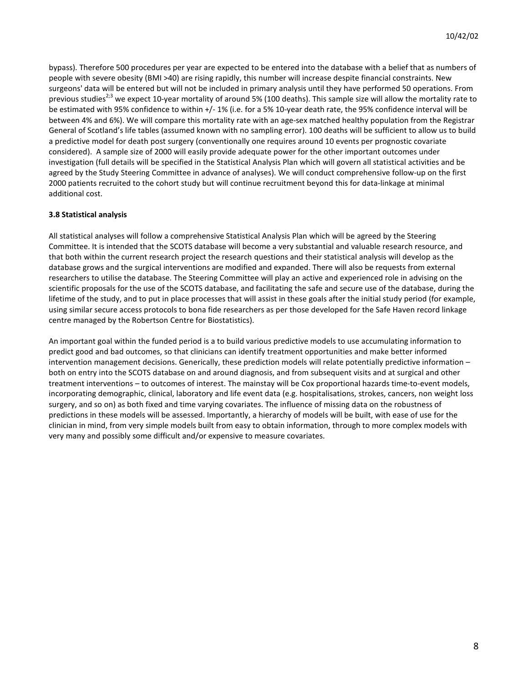bypass). Therefore 500 procedures per year are expected to be entered into the database with a belief that as numbers of people with severe obesity (BMI >40) are rising rapidly, this number will increase despite financial constraints. New surgeons' data will be entered but will not be included in primary analysis until they have performed 50 operations. From previous studies<sup>2;3</sup> we expect 10-year mortality of around 5% (100 deaths). This sample size will allow the mortality rate to be estimated with 95% confidence to within +/- 1% (i.e. for a 5% 10-year death rate, the 95% confidence interval will be between 4% and 6%). We will compare this mortality rate with an age-sex matched healthy population from the Registrar General of Scotland's life tables (assumed known with no sampling error). 100 deaths will be sufficient to allow us to build a predictive model for death post surgery (conventionally one requires around 10 events per prognostic covariate considered). A sample size of 2000 will easily provide adequate power for the other important outcomes under investigation (full details will be specified in the Statistical Analysis Plan which will govern all statistical activities and be agreed by the Study Steering Committee in advance of analyses). We will conduct comprehensive follow-up on the first 2000 patients recruited to the cohort study but will continue recruitment beyond this for data-linkage at minimal additional cost.

# **3.8 Statistical analysis**

All statistical analyses will follow a comprehensive Statistical Analysis Plan which will be agreed by the Steering Committee. It is intended that the SCOTS database will become a very substantial and valuable research resource, and that both within the current research project the research questions and their statistical analysis will develop as the database grows and the surgical interventions are modified and expanded. There will also be requests from external researchers to utilise the database. The Steering Committee will play an active and experienced role in advising on the scientific proposals for the use of the SCOTS database, and facilitating the safe and secure use of the database, during the lifetime of the study, and to put in place processes that will assist in these goals after the initial study period (for example, using similar secure access protocols to bona fide researchers as per those developed for the Safe Haven record linkage centre managed by the Robertson Centre for Biostatistics).

An important goal within the funded period is a to build various predictive models to use accumulating information to predict good and bad outcomes, so that clinicians can identify treatment opportunities and make better informed intervention management decisions. Generically, these prediction models will relate potentially predictive information – both on entry into the SCOTS database on and around diagnosis, and from subsequent visits and at surgical and other treatment interventions – to outcomes of interest. The mainstay will be Cox proportional hazards time-to-event models, incorporating demographic, clinical, laboratory and life event data (e.g. hospitalisations, strokes, cancers, non weight loss surgery, and so on) as both fixed and time varying covariates. The influence of missing data on the robustness of predictions in these models will be assessed. Importantly, a hierarchy of models will be built, with ease of use for the clinician in mind, from very simple models built from easy to obtain information, through to more complex models with very many and possibly some difficult and/or expensive to measure covariates.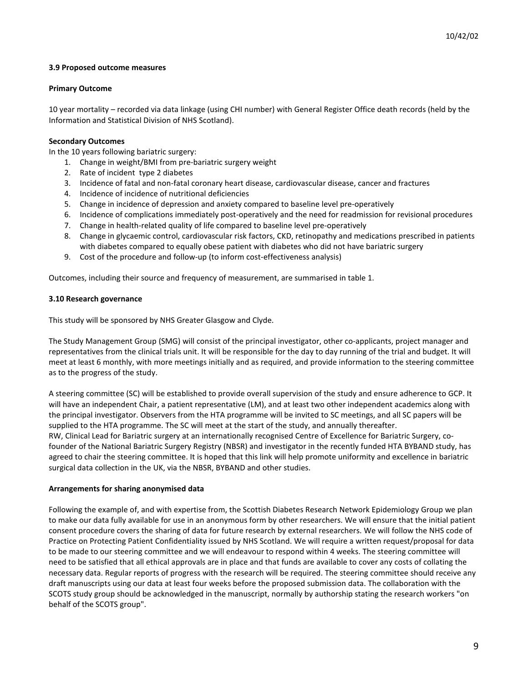# **3.9 Proposed outcome measures**

# **Primary Outcome**

10 year mortality – recorded via data linkage (using CHI number) with General Register Office death records (held by the Information and Statistical Division of NHS Scotland).

# **Secondary Outcomes**

In the 10 years following bariatric surgery:

- 1. Change in weight/BMI from pre-bariatric surgery weight
- 2. Rate of incident type 2 diabetes
- 3. Incidence of fatal and non-fatal coronary heart disease, cardiovascular disease, cancer and fractures
- 4. Incidence of incidence of nutritional deficiencies
- 5. Change in incidence of depression and anxiety compared to baseline level pre-operatively
- 6. Incidence of complications immediately post-operatively and the need for readmission for revisional procedures
- 7. Change in health-related quality of life compared to baseline level pre-operatively
- 8. Change in glycaemic control, cardiovascular risk factors, CKD, retinopathy and medications prescribed in patients with diabetes compared to equally obese patient with diabetes who did not have bariatric surgery
- 9. Cost of the procedure and follow-up (to inform cost-effectiveness analysis)

Outcomes, including their source and frequency of measurement, are summarised in table 1.

# **3.10 Research governance**

This study will be sponsored by NHS Greater Glasgow and Clyde.

The Study Management Group (SMG) will consist of the principal investigator, other co-applicants, project manager and representatives from the clinical trials unit. It will be responsible for the day to day running of the trial and budget. It will meet at least 6 monthly, with more meetings initially and as required, and provide information to the steering committee as to the progress of the study.

A steering committee (SC) will be established to provide overall supervision of the study and ensure adherence to GCP. It will have an independent Chair, a patient representative (LM), and at least two other independent academics along with the principal investigator. Observers from the HTA programme will be invited to SC meetings, and all SC papers will be supplied to the HTA programme. The SC will meet at the start of the study, and annually thereafter. RW, Clinical Lead for Bariatric surgery at an internationally recognised Centre of Excellence for Bariatric Surgery, cofounder of the National Bariatric Surgery Registry (NBSR) and investigator in the recently funded HTA BYBAND study, has agreed to chair the steering committee. It is hoped that this link will help promote uniformity and excellence in bariatric surgical data collection in the UK, via the NBSR, BYBAND and other studies.

#### **Arrangements for sharing anonymised data**

Following the example of, and with expertise from, the Scottish Diabetes Research Network Epidemiology Group we plan to make our data fully available for use in an anonymous form by other researchers. We will ensure that the initial patient consent procedure covers the sharing of data for future research by external researchers. We will follow the NHS code of Practice on Protecting Patient Confidentiality issued by NHS Scotland. We will require a written request/proposal for data to be made to our steering committee and we will endeavour to respond within 4 weeks. The steering committee will need to be satisfied that all ethical approvals are in place and that funds are available to cover any costs of collating the necessary data. Regular reports of progress with the research will be required. The steering committee should receive any draft manuscripts using our data at least four weeks before the proposed submission data. The collaboration with the SCOTS study group should be acknowledged in the manuscript, normally by authorship stating the research workers "on behalf of the SCOTS group".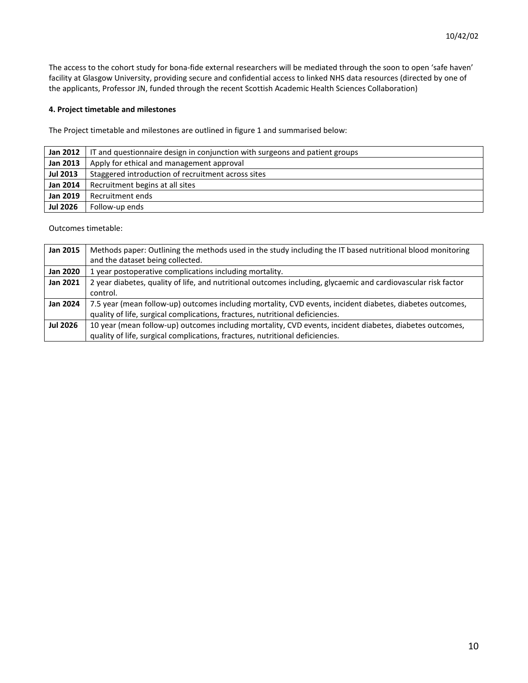The access to the cohort study for bona-fide external researchers will be mediated through the soon to open 'safe haven' facility at Glasgow University, providing secure and confidential access to linked NHS data resources (directed by one of the applicants, Professor JN, funded through the recent Scottish Academic Health Sciences Collaboration)

# **4. Project timetable and milestones**

The Project timetable and milestones are outlined in figure 1 and summarised below:

| <b>Jan 2012</b> | IT and questionnaire design in conjunction with surgeons and patient groups |
|-----------------|-----------------------------------------------------------------------------|
| <b>Jan 2013</b> | Apply for ethical and management approval                                   |
| <b>Jul 2013</b> | Staggered introduction of recruitment across sites                          |
| <b>Jan 2014</b> | Recruitment begins at all sites                                             |
| <b>Jan 2019</b> | Recruitment ends                                                            |
| <b>Jul 2026</b> | Follow-up ends                                                              |

Outcomes timetable:

| Jan 2015        | Methods paper: Outlining the methods used in the study including the IT based nutritional blood monitoring     |
|-----------------|----------------------------------------------------------------------------------------------------------------|
|                 | and the dataset being collected.                                                                               |
| <b>Jan 2020</b> | 1 year postoperative complications including mortality.                                                        |
| <b>Jan 2021</b> | 2 year diabetes, quality of life, and nutritional outcomes including, glycaemic and cardiovascular risk factor |
|                 | control.                                                                                                       |
| <b>Jan 2024</b> | 7.5 year (mean follow-up) outcomes including mortality, CVD events, incident diabetes, diabetes outcomes,      |
|                 | quality of life, surgical complications, fractures, nutritional deficiencies.                                  |
| <b>Jul 2026</b> | 10 year (mean follow-up) outcomes including mortality, CVD events, incident diabetes, diabetes outcomes,       |
|                 | quality of life, surgical complications, fractures, nutritional deficiencies.                                  |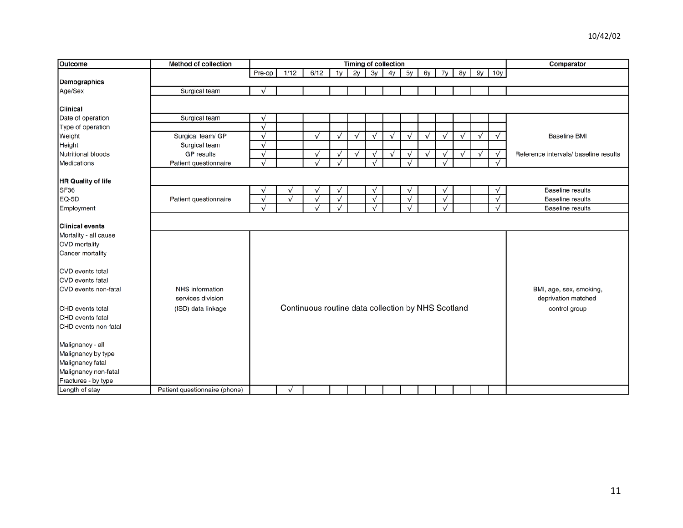| Outcome                 | <b>Method of collection</b>   | Timing of collection |           |                                                    |                |           |            |           |           |           |            |           |           | Comparator |                                       |
|-------------------------|-------------------------------|----------------------|-----------|----------------------------------------------------|----------------|-----------|------------|-----------|-----------|-----------|------------|-----------|-----------|------------|---------------------------------------|
|                         |                               | Pre-op               | 1/12      | 6/12                                               | 1 <sub>V</sub> | 2y        | 3v         | 4v        | 5y        | 6y        | 7y         | 8y        | 9y        | 10y        |                                       |
| Demographics            |                               |                      |           |                                                    |                |           |            |           |           |           |            |           |           |            |                                       |
| Age/Sex                 | Surgical team                 | $\checkmark$         |           |                                                    |                |           |            |           |           |           |            |           |           |            |                                       |
|                         |                               |                      |           |                                                    |                |           |            |           |           |           |            |           |           |            |                                       |
| <b>Clinical</b>         |                               |                      |           |                                                    |                |           |            |           |           |           |            |           |           |            |                                       |
| Date of operation       | Surgical team                 | $\sqrt{}$            |           |                                                    |                |           |            |           |           |           |            |           |           |            |                                       |
| Type of operation       |                               | $\checkmark$         |           |                                                    |                |           |            |           |           |           |            |           |           |            |                                       |
| Weight                  | Surgical team/ GP             | $\checkmark$         |           | $\sqrt{}$                                          | $\sqrt{}$      | $\sqrt{}$ | $\sqrt{ }$ | $\sqrt{}$ | $\sqrt{}$ | $\sqrt{}$ | $\sqrt{}$  | $\sqrt{}$ | $\sqrt{}$ | $\sqrt{ }$ | <b>Baseline BMI</b>                   |
| Height                  | Surgical team                 | $\checkmark$         |           |                                                    |                |           |            |           |           |           |            |           |           |            |                                       |
| Nutritional bloods      | <b>GP</b> results             | $\checkmark$         |           | $\sqrt{}$                                          | $\sqrt{}$      | $\sqrt{}$ | $\sqrt{}$  | $\sqrt{}$ | $\sqrt{}$ | $\sqrt{}$ | $\sqrt{}$  | $\sqrt{}$ | $\sqrt{}$ | $\sqrt{ }$ | Reference intervals/ baseline results |
| Medications             | Patient questionnaire         | $\checkmark$         |           | $\checkmark$                                       | $\sqrt{}$      |           | $\sqrt{}$  |           | $\sqrt{}$ |           | $\sqrt{}$  |           |           | $\sqrt{}$  |                                       |
|                         |                               |                      |           |                                                    |                |           |            |           |           |           |            |           |           |            |                                       |
| HR Quality of life      |                               |                      |           |                                                    |                |           |            |           |           |           |            |           |           |            |                                       |
| SF36                    |                               | $\sqrt{}$            | $\sqrt{}$ | $\sqrt{}$                                          | $\sqrt{}$      |           | $\sqrt{ }$ |           | $\sqrt{}$ |           | $\sqrt{}$  |           |           | $\sqrt{ }$ | <b>Baseline results</b>               |
| EQ-5D                   | Patient questionnaire         | $\checkmark$         | $\sqrt{}$ | $\sqrt{}$                                          | $\sqrt{}$      |           | $\sqrt{}$  |           | $\sqrt{}$ |           | $\sqrt{ }$ |           |           | $\sqrt{ }$ | Baseline results                      |
| Employment              |                               | $\checkmark$         |           | $\checkmark$                                       | $\sqrt{}$      |           | $\sqrt{}$  |           | $\sqrt{}$ |           | $\sqrt{ }$ |           |           | $\sqrt{}$  | <b>Baseline results</b>               |
|                         |                               |                      |           |                                                    |                |           |            |           |           |           |            |           |           |            |                                       |
| <b>Clinical events</b>  |                               |                      |           |                                                    |                |           |            |           |           |           |            |           |           |            |                                       |
| Mortality - all cause   |                               |                      |           |                                                    |                |           |            |           |           |           |            |           |           |            |                                       |
| <b>CVD</b> mortality    |                               |                      |           |                                                    |                |           |            |           |           |           |            |           |           |            |                                       |
| Cancer mortality        |                               |                      |           |                                                    |                |           |            |           |           |           |            |           |           |            |                                       |
|                         |                               |                      |           |                                                    |                |           |            |           |           |           |            |           |           |            |                                       |
| <b>CVD</b> events total |                               |                      |           |                                                    |                |           |            |           |           |           |            |           |           |            |                                       |
| CVD events fatal        |                               |                      |           |                                                    |                |           |            |           |           |           |            |           |           |            |                                       |
| CVD events non-fatal    | NHS information               |                      |           |                                                    |                |           |            |           |           |           |            |           |           |            | BMI, age, sex, smoking,               |
|                         | services division             |                      |           |                                                    |                |           |            |           |           |           |            |           |           |            | deprivation matched                   |
| CHD events total        | (ISD) data linkage            |                      |           | Continuous routine data collection by NHS Scotland |                |           |            |           |           |           |            |           |           |            | control group                         |
| CHD events fatal        |                               |                      |           |                                                    |                |           |            |           |           |           |            |           |           |            |                                       |
| CHD events non-fatal    |                               |                      |           |                                                    |                |           |            |           |           |           |            |           |           |            |                                       |
|                         |                               |                      |           |                                                    |                |           |            |           |           |           |            |           |           |            |                                       |
| Malignancy - all        |                               |                      |           |                                                    |                |           |            |           |           |           |            |           |           |            |                                       |
| Malignancy by type      |                               |                      |           |                                                    |                |           |            |           |           |           |            |           |           |            |                                       |
| Malignancy fatal        |                               |                      |           |                                                    |                |           |            |           |           |           |            |           |           |            |                                       |
| Malignancy non-fatal    |                               |                      |           |                                                    |                |           |            |           |           |           |            |           |           |            |                                       |
| Fractures - by type     |                               |                      |           |                                                    |                |           |            |           |           |           |            |           |           |            |                                       |
| Length of stay          | Patient questionnaire (phone) |                      | $\sqrt{}$ |                                                    |                |           |            |           |           |           |            |           |           |            |                                       |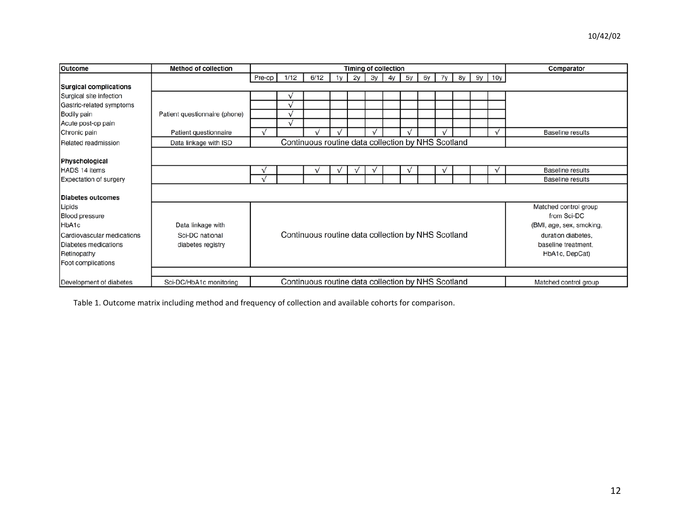| <b>Outcome</b>                | <b>Method of collection</b>                                                                            | Timing of collection |      |                                                    |            |              |    |    |    |    |             |    |  |          | Comparator              |
|-------------------------------|--------------------------------------------------------------------------------------------------------|----------------------|------|----------------------------------------------------|------------|--------------|----|----|----|----|-------------|----|--|----------|-------------------------|
|                               |                                                                                                        | Pre-op               | 1/12 | 6/12                                               | 1v         | 2v           | Зy | 4y | 5y | 6y | 7y          | 8y |  | 9y   10y |                         |
| <b>Surgical complications</b> |                                                                                                        |                      |      |                                                    |            |              |    |    |    |    |             |    |  |          |                         |
| Surgical site infection       |                                                                                                        |                      |      |                                                    |            |              |    |    |    |    |             |    |  |          |                         |
| Gastric-related symptoms      |                                                                                                        |                      |      |                                                    |            |              |    |    |    |    |             |    |  |          |                         |
| Bodily pain                   | Patient questionnaire (phone)                                                                          |                      |      |                                                    |            |              |    |    |    |    |             |    |  |          |                         |
| Acute post-op pain            |                                                                                                        |                      |      |                                                    |            |              |    |    |    |    |             |    |  |          |                         |
| Chronic pain                  | Patient questionnaire                                                                                  | $\checkmark$         |      |                                                    |            |              |    |    |    |    |             |    |  |          | <b>Baseline results</b> |
| Related readmission           | Data linkage with ISD                                                                                  |                      |      | Continuous routine data collection by NHS Scotland |            |              |    |    |    |    |             |    |  |          |                         |
|                               |                                                                                                        |                      |      |                                                    |            |              |    |    |    |    |             |    |  |          |                         |
| Physchological                |                                                                                                        |                      |      |                                                    |            |              |    |    |    |    |             |    |  |          |                         |
| HADS 14 items                 |                                                                                                        |                      |      |                                                    | $\sqrt{ }$ | $\checkmark$ |    |    |    |    | $\mathbf v$ |    |  | v        | <b>Baseline results</b> |
| <b>Expectation of surgery</b> |                                                                                                        |                      |      |                                                    |            |              |    |    |    |    |             |    |  |          | <b>Baseline results</b> |
|                               |                                                                                                        |                      |      |                                                    |            |              |    |    |    |    |             |    |  |          |                         |
| Diabetes outcomes             |                                                                                                        |                      |      |                                                    |            |              |    |    |    |    |             |    |  |          |                         |
| Lipids                        |                                                                                                        |                      |      |                                                    |            |              |    |    |    |    |             |    |  |          | Matched control group   |
| <b>Blood pressure</b>         | from Sci-DC                                                                                            |                      |      |                                                    |            |              |    |    |    |    |             |    |  |          |                         |
| HbA1c                         | Data linkage with<br>(BMI, age, sex, smoking,                                                          |                      |      |                                                    |            |              |    |    |    |    |             |    |  |          |                         |
| Cardiovascular medications    | Continuous routine data collection by NHS Scotland<br>Sci-DC national<br>duration diabetes,            |                      |      |                                                    |            |              |    |    |    |    |             |    |  |          |                         |
| Diabetes medications          | baseline treatment.<br>diabetes registry                                                               |                      |      |                                                    |            |              |    |    |    |    |             |    |  |          |                         |
| Retinopathy                   |                                                                                                        |                      |      |                                                    |            |              |    |    |    |    |             |    |  |          | HbA1c, DepCat)          |
| Foot complications            |                                                                                                        |                      |      |                                                    |            |              |    |    |    |    |             |    |  |          |                         |
|                               |                                                                                                        |                      |      |                                                    |            |              |    |    |    |    |             |    |  |          |                         |
| Development of diabetes       | Continuous routine data collection by NHS Scotland<br>Sci-DC/HbA1c monitoring<br>Matched control group |                      |      |                                                    |            |              |    |    |    |    |             |    |  |          |                         |

Table 1. Outcome matrix including method and frequency of collection and available cohorts for comparison.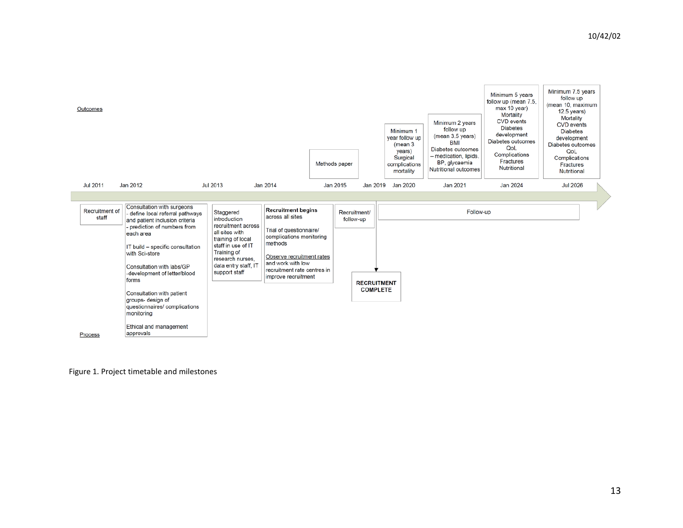

Figure 1. Project timetable and milestones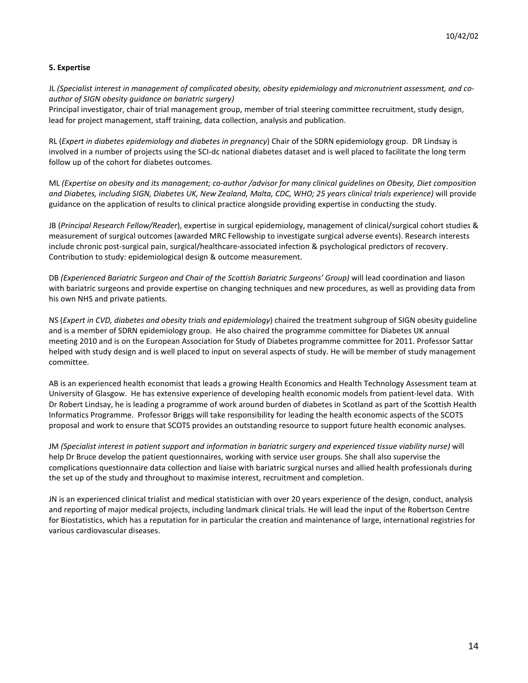# **5. Expertise**

JL *(Specialist interest in management of complicated obesity, obesity epidemiology and micronutrient assessment, and coauthor of SIGN obesity guidance on bariatric surgery)* 

Principal investigator, chair of trial management group, member of trial steering committee recruitment, study design, lead for project management, staff training, data collection, analysis and publication.

RL (*Expert in diabetes epidemiology and diabetes in pregnancy*) Chair of the SDRN epidemiology group. DR Lindsay is involved in a number of projects using the SCI-dc national diabetes dataset and is well placed to facilitate the long term follow up of the cohort for diabetes outcomes.

ML *(Expertise on obesity and its management; co-author /advisor for many clinical guidelines on Obesity, Diet composition and Diabetes, including SIGN, Diabetes UK, New Zealand, Malta, CDC, WHO; 25 years clinical trials experience)* will provide guidance on the application of results to clinical practice alongside providing expertise in conducting the study.

JB (*Principal Research Fellow/Reader*), expertise in surgical epidemiology, management of clinical/surgical cohort studies & measurement of surgical outcomes (awarded MRC Fellowship to investigate surgical adverse events). Research interests include chronic post-surgical pain, surgical/healthcare-associated infection & psychological predictors of recovery. Contribution to study: epidemiological design & outcome measurement.

DB *(Experienced Bariatric Surgeon and Chair of the Scottish Bariatric Surgeons' Group)* will lead coordination and liason with bariatric surgeons and provide expertise on changing techniques and new procedures, as well as providing data from his own NHS and private patients.

NS (*Expert in CVD, diabetes and obesity trials and epidemiology*) chaired the treatment subgroup of SIGN obesity guideline and is a member of SDRN epidemiology group. He also chaired the programme committee for Diabetes UK annual meeting 2010 and is on the European Association for Study of Diabetes programme committee for 2011. Professor Sattar helped with study design and is well placed to input on several aspects of study. He will be member of study management committee.

AB is an experienced health economist that leads a growing Health Economics and Health Technology Assessment team at University of Glasgow. He has extensive experience of developing health economic models from patient-level data. With Dr Robert Lindsay, he is leading a programme of work around burden of diabetes in Scotland as part of the Scottish Health Informatics Programme. Professor Briggs will take responsibility for leading the health economic aspects of the SCOTS proposal and work to ensure that SCOTS provides an outstanding resource to support future health economic analyses.

JM *(Specialist interest in patient support and information in bariatric surgery and experienced tissue viability nurse)* will help Dr Bruce develop the patient questionnaires, working with service user groups. She shall also supervise the complications questionnaire data collection and liaise with bariatric surgical nurses and allied health professionals during the set up of the study and throughout to maximise interest, recruitment and completion.

JN is an experienced clinical trialist and medical statistician with over 20 years experience of the design, conduct, analysis and reporting of major medical projects, including landmark clinical trials. He will lead the input of the Robertson Centre for Biostatistics, which has a reputation for in particular the creation and maintenance of large, international registries for various cardiovascular diseases.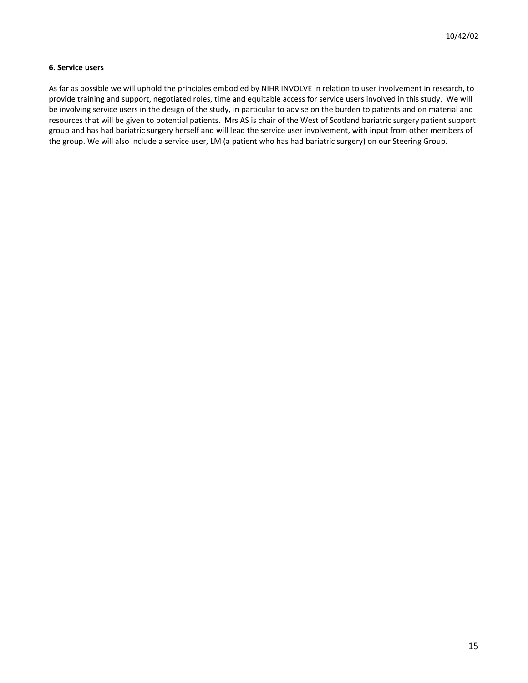# **6. Service users**

As far as possible we will uphold the principles embodied by NIHR INVOLVE in relation to user involvement in research, to provide training and support, negotiated roles, time and equitable access for service users involved in this study. We will be involving service users in the design of the study, in particular to advise on the burden to patients and on material and resources that will be given to potential patients. Mrs AS is chair of the West of Scotland bariatric surgery patient support group and has had bariatric surgery herself and will lead the service user involvement, with input from other members of the group. We will also include a service user, LM (a patient who has had bariatric surgery) on our Steering Group.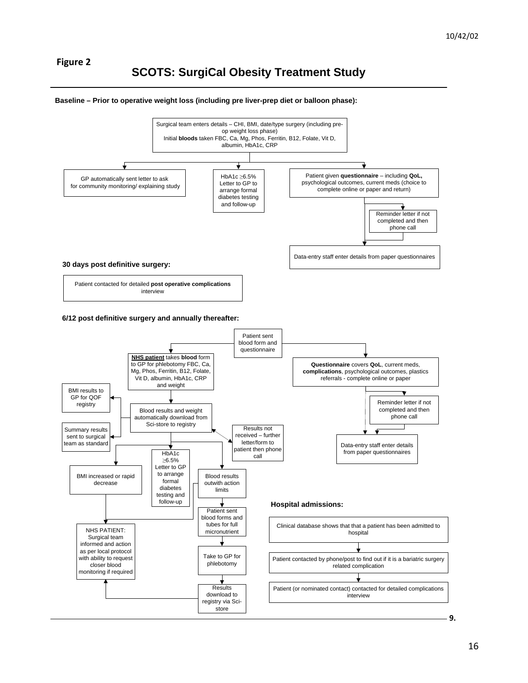# **SCOTS: SurgiCal Obesity Treatment Study**

#### **Baseline – Prior to operative weight loss (including pre liver-prep diet or balloon phase):**